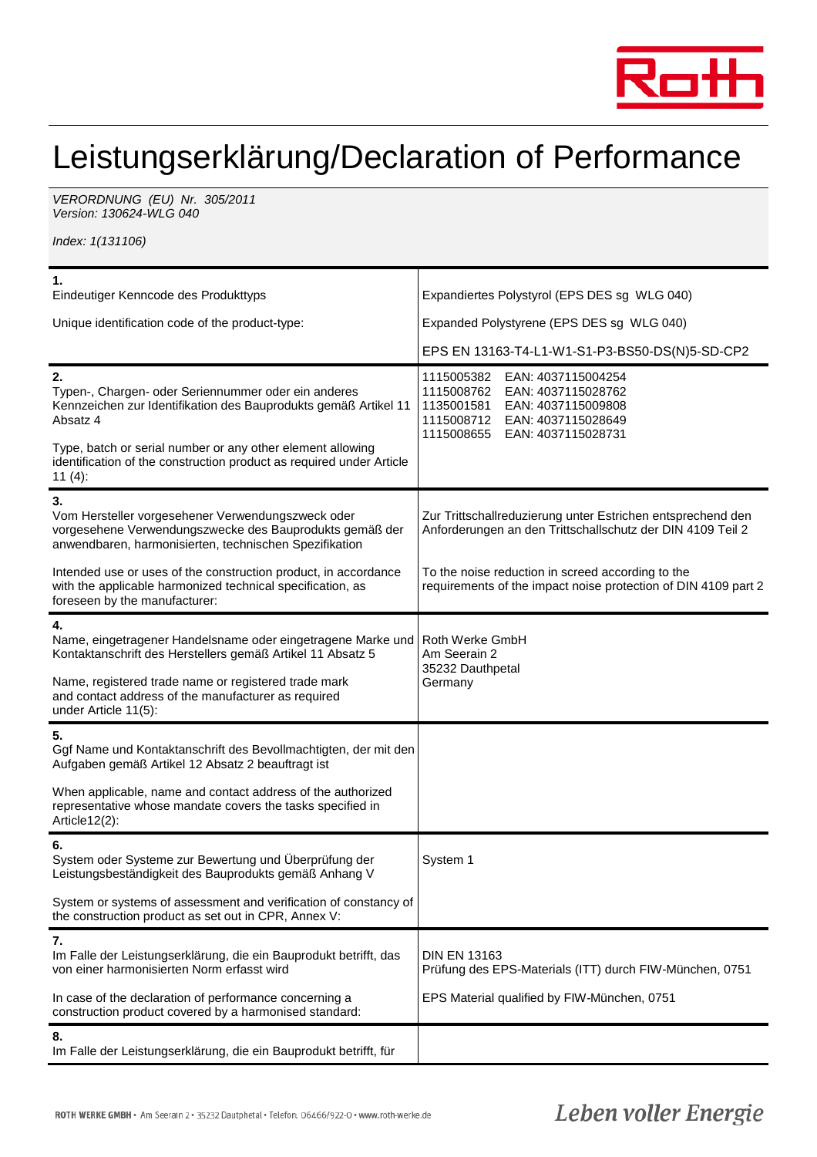

## Leistungserklärung/Declaration of Performance

VERORDNUNG (EU) Nr. 305/2011 Version: 130624-WLG 040

Index: 1(131106)

| 1.<br>Eindeutiger Kenncode des Produkttyps                                                                                                                                                                                                                                                   | Expandiertes Polystyrol (EPS DES sg WLG 040)                                                                                                                                     |  |
|----------------------------------------------------------------------------------------------------------------------------------------------------------------------------------------------------------------------------------------------------------------------------------------------|----------------------------------------------------------------------------------------------------------------------------------------------------------------------------------|--|
| Unique identification code of the product-type:                                                                                                                                                                                                                                              | Expanded Polystyrene (EPS DES sg WLG 040)                                                                                                                                        |  |
|                                                                                                                                                                                                                                                                                              | EPS EN 13163-T4-L1-W1-S1-P3-BS50-DS(N)5-SD-CP2                                                                                                                                   |  |
| 2.<br>Typen-, Chargen- oder Seriennummer oder ein anderes<br>Kennzeichen zur Identifikation des Bauprodukts gemäß Artikel 11<br>Absatz 4<br>Type, batch or serial number or any other element allowing<br>identification of the construction product as required under Article<br>11 $(4)$ : | 1115005382<br>EAN: 4037115004254<br>1115008762<br>EAN: 4037115028762<br>1135001581<br>EAN: 4037115009808<br>1115008712<br>EAN: 4037115028649<br>1115008655<br>EAN: 4037115028731 |  |
| 3.<br>Vom Hersteller vorgesehener Verwendungszweck oder<br>vorgesehene Verwendungszwecke des Bauprodukts gemäß der<br>anwendbaren, harmonisierten, technischen Spezifikation                                                                                                                 | Zur Trittschallreduzierung unter Estrichen entsprechend den<br>Anforderungen an den Trittschallschutz der DIN 4109 Teil 2                                                        |  |
| Intended use or uses of the construction product, in accordance<br>with the applicable harmonized technical specification, as<br>foreseen by the manufacturer:                                                                                                                               | To the noise reduction in screed according to the<br>requirements of the impact noise protection of DIN 4109 part 2                                                              |  |
| 4.<br>Name, eingetragener Handelsname oder eingetragene Marke und<br>Kontaktanschrift des Herstellers gemäß Artikel 11 Absatz 5<br>Name, registered trade name or registered trade mark<br>and contact address of the manufacturer as required<br>under Article 11(5):                       | Roth Werke GmbH<br>Am Seerain 2<br>35232 Dauthpetal<br>Germany                                                                                                                   |  |
| 5.<br>Ggf Name und Kontaktanschrift des Bevollmachtigten, der mit den<br>Aufgaben gemäß Artikel 12 Absatz 2 beauftragt ist                                                                                                                                                                   |                                                                                                                                                                                  |  |
| When applicable, name and contact address of the authorized<br>representative whose mandate covers the tasks specified in<br>Article12(2):                                                                                                                                                   |                                                                                                                                                                                  |  |
| 6.<br>System oder Systeme zur Bewertung und Überprüfung der<br>Leistungsbeständigkeit des Bauprodukts gemäß Anhang V                                                                                                                                                                         | System 1                                                                                                                                                                         |  |
| System or systems of assessment and verification of constancy of<br>the construction product as set out in CPR, Annex V:                                                                                                                                                                     |                                                                                                                                                                                  |  |
| 7.<br>Im Falle der Leistungserklärung, die ein Bauprodukt betrifft, das<br>von einer harmonisierten Norm erfasst wird                                                                                                                                                                        | <b>DIN EN 13163</b><br>Prüfung des EPS-Materials (ITT) durch FIW-München, 0751                                                                                                   |  |
| In case of the declaration of performance concerning a<br>construction product covered by a harmonised standard:                                                                                                                                                                             | EPS Material qualified by FIW-München, 0751                                                                                                                                      |  |
| 8.<br>Im Falle der Leistungserklärung, die ein Bauprodukt betrifft, für                                                                                                                                                                                                                      |                                                                                                                                                                                  |  |

## Leben voller Energie